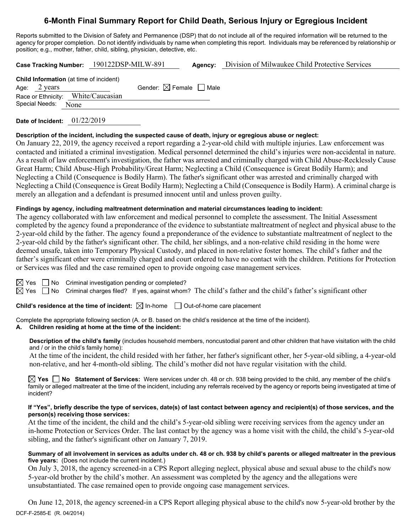# **6-Month Final Summary Report for Child Death, Serious Injury or Egregious Incident**

Reports submitted to the Division of Safety and Permanence (DSP) that do not include all of the required information will be returned to the agency for proper completion. Do not identify individuals by name when completing this report. Individuals may be referenced by relationship or position; e.g., mother, father, child, sibling, physician, detective, etc.

**Case Tracking Number:** 190122DSP-MILW-891 **Agency:** Division of Milwaukee Child Protective Services

**Child Information** (at time of incident) Age:  $2 \text{ years}$  Gender:  $\boxtimes$  Female  $\Box$  Male Race or Ethnicity: White/Caucasian Special Needs: None

**Date of Incident:** 01/22/2019

# **Description of the incident, including the suspected cause of death, injury or egregious abuse or neglect:**

On January 22, 2019, the agency received a report regarding a 2-year-old child with multiple injuries. Law enforcement was contacted and initiated a criminal investigation. Medical personnel determined the child's injuries were non-accidental in nature. As a result of law enforcement's investigation, the father was arrested and criminally charged with Child Abuse-Recklessly Cause Great Harm; Child Abuse-High Probability/Great Harm; Neglecting a Child (Consequence is Great Bodily Harm); and Neglecting a Child (Consequence is Bodily Harm). The father's significant other was arrested and criminally charged with Neglecting a Child (Consequence is Great Bodily Harm); Neglecting a Child (Consequence is Bodily Harm). A criminal charge is merely an allegation and a defendant is presumed innocent until and unless proven guilty.

## **Findings by agency, including maltreatment determination and material circumstances leading to incident:**

The agency collaborated with law enforcement and medical personnel to complete the assessment. The Initial Assessment completed by the agency found a preponderance of the evidence to substantiate maltreatment of neglect and physical abuse to the 2-year-old child by the father. The agency found a preponderance of the evidence to substantiate maltreatment of neglect to the 2-year-old child by the father's significant other. The child, her siblings, and a non-relative child residing in the home were deemed unsafe, taken into Temporary Physical Custody, and placed in non-relative foster homes. The child's father and the father's significant other were criminally charged and court ordered to have no contact with the children. Petitions for Protection or Services was filed and the case remained open to provide ongoing case management services.

 $\boxtimes$  Yes  $\Box$  No Criminal investigation pending or completed?

 $\boxtimes$  Yes  $\Box$  No Criminal charges filed? If yes, against whom? The child's father and the child's father's significant other

**Child's residence at the time of incident:**  $\boxtimes$  In-home  $\Box$  Out-of-home care placement

Complete the appropriate following section (A. or B. based on the child's residence at the time of the incident).

# **A. Children residing at home at the time of the incident:**

**Description of the child's family** (includes household members, noncustodial parent and other children that have visitation with the child and / or in the child's family home):

At the time of the incident, the child resided with her father, her father's significant other, her 5-year-old sibling, a 4-year-old non-relative, and her 4-month-old sibling. The child's mother did not have regular visitation with the child.

**Yes No Statement of Services:** Were services under ch. 48 or ch. 938 being provided to the child, any member of the child's family or alleged maltreater at the time of the incident, including any referrals received by the agency or reports being investigated at time of incident?

### **If "Yes", briefly describe the type of services, date(s) of last contact between agency and recipient(s) of those services, and the person(s) receiving those services:**

At the time of the incident, the child and the child's 5-year-old sibling were receiving services from the agency under an in-home Protection or Services Order. The last contact by the agency was a home visit with the child, the child's 5-year-old sibling, and the father's significant other on January 7, 2019.

#### **Summary of all involvement in services as adults under ch. 48 or ch. 938 by child's parents or alleged maltreater in the previous five years:** (Does not include the current incident.)

On July 3, 2018, the agency screened-in a CPS Report alleging neglect, physical abuse and sexual abuse to the child's now 5-year-old brother by the child's mother. An assessment was completed by the agency and the allegations were unsubstantiated. The case remained open to provide ongoing case management services.

DCF-F-2585-E (R. 04/2014) On June 12, 2018, the agency screened-in a CPS Report alleging physical abuse to the child's now 5-year-old brother by the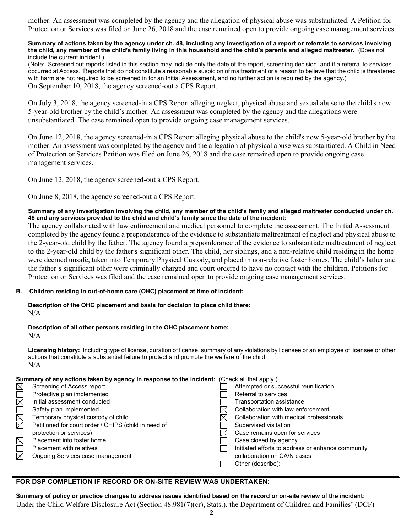mother. An assessment was completed by the agency and the allegation of physical abuse was substantiated. A Petition for Protection or Services was filed on June 26, 2018 and the case remained open to provide ongoing case management services.

#### **Summary of actions taken by the agency under ch. 48, including any investigation of a report or referrals to services involving the child, any member of the child's family living in this household and the child's parents and alleged maltreater.** (Does not include the current incident.)

(Note: Screened out reports listed in this section may include only the date of the report, screening decision, and if a referral to services occurred at Access. Reports that do not constitute a reasonable suspicion of maltreatment or a reason to believe that the child is threatened with harm are not required to be screened in for an Initial Assessment, and no further action is required by the agency.) On September 10, 2018, the agency screened-out a CPS Report.

On July 3, 2018, the agency screened-in a CPS Report alleging neglect, physical abuse and sexual abuse to the child's now 5-year-old brother by the child's mother. An assessment was completed by the agency and the allegations were unsubstantiated. The case remained open to provide ongoing case management services.

On June 12, 2018, the agency screened-in a CPS Report alleging physical abuse to the child's now 5-year-old brother by the mother. An assessment was completed by the agency and the allegation of physical abuse was substantiated. A Child in Need of Protection or Services Petition was filed on June 26, 2018 and the case remained open to provide ongoing case management services.

On June 12, 2018, the agency screened-out a CPS Report.

On June 8, 2018, the agency screened-out a CPS Report.

### **Summary of any investigation involving the child, any member of the child's family and alleged maltreater conducted under ch. 48 and any services provided to the child and child's family since the date of the incident:**

The agency collaborated with law enforcement and medical personnel to complete the assessment. The Initial Assessment completed by the agency found a preponderance of the evidence to substantiate maltreatment of neglect and physical abuse to the 2-year-old child by the father. The agency found a preponderance of the evidence to substantiate maltreatment of neglect to the 2-year-old child by the father's significant other. The child, her siblings, and a non-relative child residing in the home were deemed unsafe, taken into Temporary Physical Custody, and placed in non-relative foster homes. The child's father and the father's significant other were criminally charged and court ordered to have no contact with the children. Petitions for Protection or Services was filed and the case remained open to provide ongoing case management services.

### **B. Children residing in out-of-home care (OHC) placement at time of incident:**

**Description of the OHC placement and basis for decision to place child there:**  $N/A$ 

**Description of all other persons residing in the OHC placement home:** N/A

**Licensing history:** Including type of license, duration of license, summary of any violations by licensee or an employee of licensee or other actions that constitute a substantial failure to protect and promote the welfare of the child. N/A

| Summary of any actions taken by agency in response to the incident: (Check all that apply.) |                                                      |  |                                                   |  |
|---------------------------------------------------------------------------------------------|------------------------------------------------------|--|---------------------------------------------------|--|
| $\boxtimes$                                                                                 | Screening of Access report                           |  | Attempted or successful reunification             |  |
|                                                                                             | Protective plan implemented                          |  | Referral to services                              |  |
| <b>NNUNU</b>                                                                                | Initial assessment conducted                         |  | Transportation assistance                         |  |
|                                                                                             | Safety plan implemented                              |  | Collaboration with law enforcement                |  |
|                                                                                             | Temporary physical custody of child                  |  | Collaboration with medical professionals          |  |
|                                                                                             | Petitioned for court order / CHIPS (child in need of |  | Supervised visitation                             |  |
|                                                                                             | protection or services)                              |  | Case remains open for services                    |  |
| $\boxtimes$                                                                                 | Placement into foster home                           |  | Case closed by agency                             |  |
| $\overline{\Xi}$                                                                            | <b>Placement with relatives</b>                      |  | Initiated efforts to address or enhance community |  |
|                                                                                             | Ongoing Services case management                     |  | collaboration on CA/N cases                       |  |
|                                                                                             |                                                      |  | Other (describe):                                 |  |

# **FOR DSP COMPLETION IF RECORD OR ON-SITE REVIEW WAS UNDERTAKEN:**

**Summary of policy or practice changes to address issues identified based on the record or on-site review of the incident:** Under the Child Welfare Disclosure Act (Section 48.981(7)(cr), Stats.), the Department of Children and Families' (DCF)